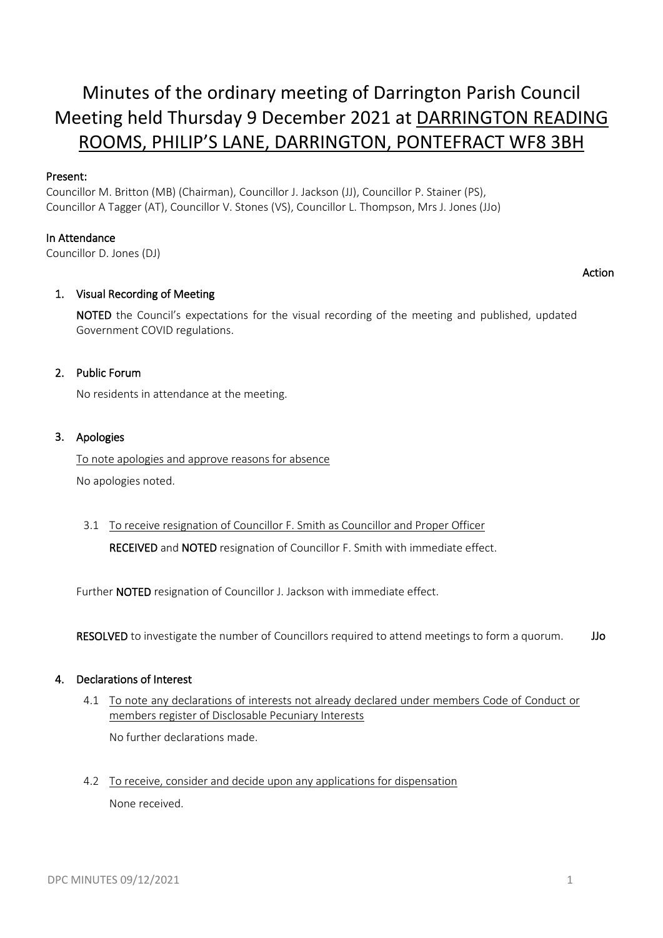# Minutes of the ordinary meeting of Darrington Parish Council Meeting held Thursday 9 December 2021 at DARRINGTON READING ROOMS, PHILIP'S LANE, DARRINGTON, PONTEFRACT WF8 3BH

# Present:

Councillor M. Britton (MB) (Chairman), Councillor J. Jackson (JJ), Councillor P. Stainer (PS), Councillor A Tagger (AT), Councillor V. Stones (VS), Councillor L. Thompson, Mrs J. Jones (JJo)

# In Attendance

Councillor D. Jones (DJ)

# Action

# 1. Visual Recording of Meeting

NOTED the Council's expectations for the visual recording of the meeting and published, updated Government COVID regulations.

# 2. Public Forum

No residents in attendance at the meeting.

# 3. Apologies

To note apologies and approve reasons for absence No apologies noted.

3.1 To receive resignation of Councillor F. Smith as Councillor and Proper Officer RECEIVED and NOTED resignation of Councillor F. Smith with immediate effect.

Further NOTED resignation of Councillor J. Jackson with immediate effect.

RESOLVED to investigate the number of Councillors required to attend meetings to form a quorum. JJo

#### 4. Declarations of Interest

4.1 To note any declarations of interests not already declared under members Code of Conduct or members register of Disclosable Pecuniary Interests

No further declarations made.

4.2 To receive, consider and decide upon any applications for dispensation None received.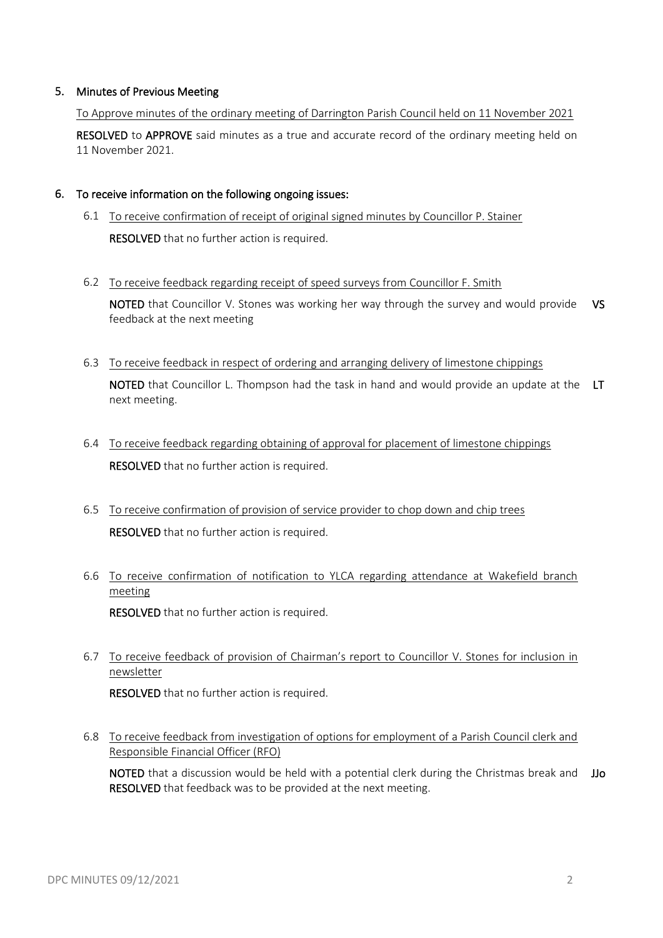# 5. Minutes of Previous Meeting

To Approve minutes of the ordinary meeting of Darrington Parish Council held on 11 November 2021 RESOLVED to APPROVE said minutes as a true and accurate record of the ordinary meeting held on 11 November 2021.

#### 6. To receive information on the following ongoing issues:

- 6.1 To receive confirmation of receipt of original signed minutes by Councillor P. Stainer RESOLVED that no further action is required.
- 6.2 To receive feedback regarding receipt of speed surveys from Councillor F. Smith

NOTED that Councillor V. Stones was working her way through the survey and would provide VS feedback at the next meeting

6.3 To receive feedback in respect of ordering and arranging delivery of limestone chippings

NOTED that Councillor L. Thompson had the task in hand and would provide an update at the LT next meeting.

- 6.4 To receive feedback regarding obtaining of approval for placement of limestone chippings **RESOLVED** that no further action is required.
- 6.5 To receive confirmation of provision of service provider to chop down and chip trees RESOLVED that no further action is required.
- 6.6 To receive confirmation of notification to YLCA regarding attendance at Wakefield branch meeting

RESOLVED that no further action is required.

6.7 To receive feedback of provision of Chairman's report to Councillor V. Stones for inclusion in newsletter

RESOLVED that no further action is required.

6.8 To receive feedback from investigation of options for employment of a Parish Council clerk and Responsible Financial Officer (RFO)

NOTED that a discussion would be held with a potential clerk during the Christmas break and JJo RESOLVED that feedback was to be provided at the next meeting.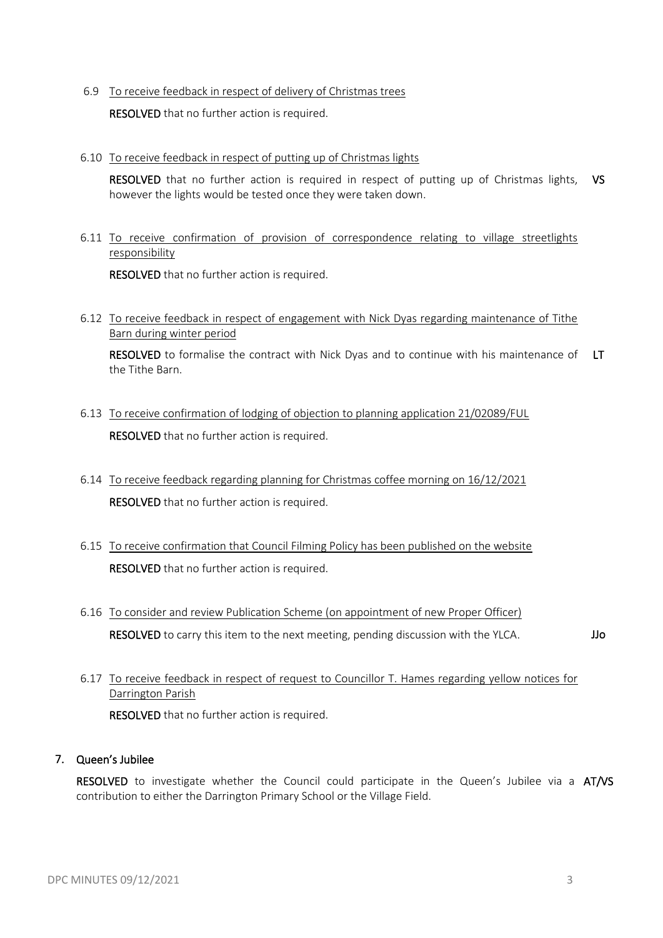6.9 To receive feedback in respect of delivery of Christmas trees

RESOLVED that no further action is required.

6.10 To receive feedback in respect of putting up of Christmas lights

RESOLVED that no further action is required in respect of putting up of Christmas lights, VS however the lights would be tested once they were taken down.

6.11 To receive confirmation of provision of correspondence relating to village streetlights responsibility

RESOLVED that no further action is required.

6.12 To receive feedback in respect of engagement with Nick Dyas regarding maintenance of Tithe Barn during winter period

RESOLVED to formalise the contract with Nick Dyas and to continue with his maintenance of LT the Tithe Barn.

- 6.13 To receive confirmation of lodging of objection to planning application 21/02089/FUL RESOLVED that no further action is required.
- 6.14 To receive feedback regarding planning for Christmas coffee morning on 16/12/2021 RESOLVED that no further action is required.
- 6.15 To receive confirmation that Council Filming Policy has been published on the website RESOLVED that no further action is required.
- 6.16 To consider and review Publication Scheme (on appointment of new Proper Officer) RESOLVED to carry this item to the next meeting, pending discussion with the YLCA. JJo
- 6.17 To receive feedback in respect of request to Councillor T. Hames regarding yellow notices for Darrington Parish

RESOLVED that no further action is required.

# 7. Queen's Jubilee

RESOLVED to investigate whether the Council could participate in the Queen's Jubilee via a AT/VS contribution to either the Darrington Primary School or the Village Field.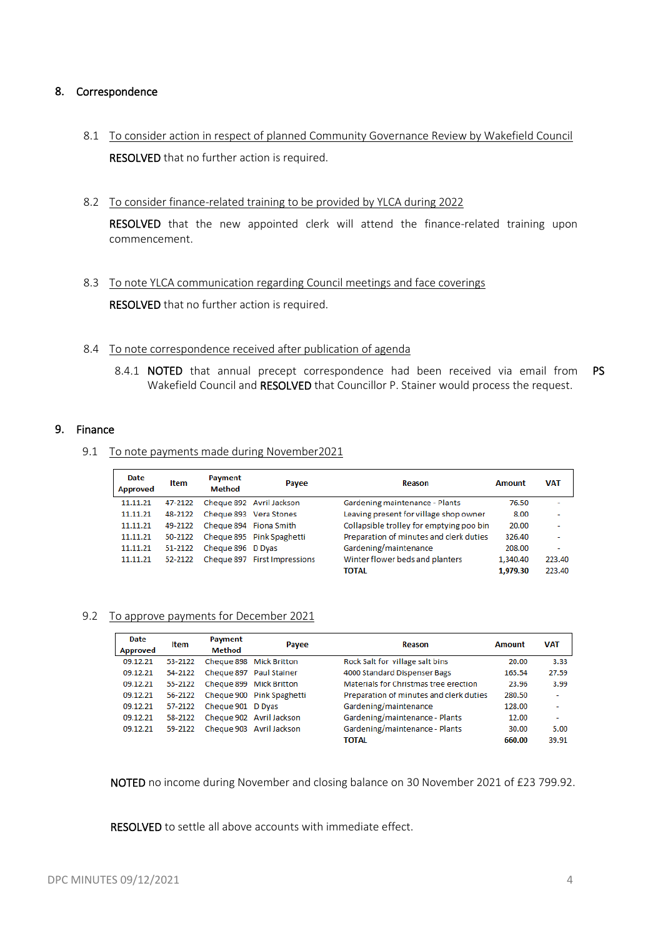# 8. Correspondence

- 8.1 To consider action in respect of planned Community Governance Review by Wakefield Council RESOLVED that no further action is required.
- 8.2 To consider finance-related training to be provided by YLCA during 2022

RESOLVED that the new appointed clerk will attend the finance-related training upon commencement.

- 8.3 To note YLCA communication regarding Council meetings and face coverings RESOLVED that no further action is required.
- 8.4 To note correspondence received after publication of agenda
	- 8.4.1 **NOTED** that annual precept correspondence had been received via email from **PS** Wakefield Council and RESOLVED that Councillor P. Stainer would process the request.

#### 9. Finance

9.1 To note payments made during November2021

| Date<br><b>Approved</b> | Item    | Payment<br><b>Method</b> | Payee                        | Reason                                   | Amount   | <b>VAT</b>               |
|-------------------------|---------|--------------------------|------------------------------|------------------------------------------|----------|--------------------------|
| 11.11.21                | 47-2122 |                          | Cheque 892 Avril Jackson     | Gardening maintenance - Plants           | 76.50    | ۰                        |
| 11.11.21                | 48-2122 |                          | Cheque 893 Vera Stones       | Leaving present for village shop owner   | 8.00     | ۰                        |
| 11.11.21                | 49-2122 | Cheque 894 Fiona Smith   |                              | Collapsible trolley for emptying poo bin | 20.00    | ۰                        |
| 11.11.21                | 50-2122 |                          | Cheque 895 Pink Spaghetti    | Preparation of minutes and clerk duties  | 326.40   | $\overline{\phantom{a}}$ |
| 11.11.21                | 51-2122 | Cheque 896 D Dyas        |                              | Gardening/maintenance                    | 208.00   | $\overline{\phantom{a}}$ |
| 11.11.21                | 52-2122 |                          | Cheque 897 First Impressions | Winter flower beds and planters          | 1,340.40 | 223.40                   |
|                         |         |                          |                              | <b>TOTAL</b>                             | 1.979.30 | 223.40                   |

#### 9.2 To approve payments for December 2021

| Date<br><b>Approved</b> | <b>Item</b> | Payment<br><b>Method</b> | Payee                     | Reason                                  | <b>Amount</b> | <b>VAT</b> |
|-------------------------|-------------|--------------------------|---------------------------|-----------------------------------------|---------------|------------|
| 09.12.21                | 53-2122     |                          | Cheque 898 Mick Britton   | Rock Salt for village salt bins         | 20.00         | 3.33       |
| 09.12.21                | 54-2122     |                          | Cheque 897 Paul Stainer   | 4000 Standard Dispenser Bags            | 165.54        | 27.59      |
| 09.12.21                | 55-2122     |                          | Cheque 899 Mick Britton   | Materials for Christmas tree erection   | 23.96         | 3.99       |
| 09.12.21                | 56-2122     |                          | Cheque 900 Pink Spaghetti | Preparation of minutes and clerk duties | 280.50        | $\sim$     |
| 09.12.21                | 57-2122     | Cheque 901 D Dyas        |                           | Gardening/maintenance                   | 128.00        |            |
| 09.12.21                | 58-2122     |                          | Cheque 902 Avril Jackson  | Gardening/maintenance - Plants          | 12.00         | ۰          |
| 09.12.21                | 59-2122     |                          | Cheque 903 Avril Jackson  | Gardening/maintenance - Plants          | 30.00         | 5.00       |
|                         |             |                          |                           | <b>TOTAL</b>                            | 660.00        | 39.91      |

NOTED no income during November and closing balance on 30 November 2021 of £23 799.92.

RESOLVED to settle all above accounts with immediate effect.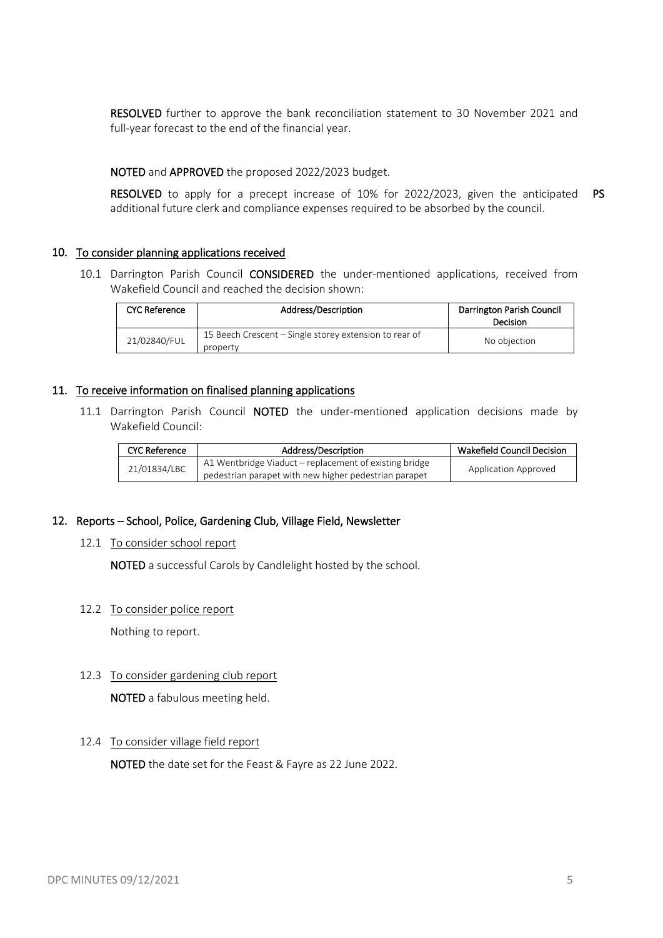RESOLVED further to approve the bank reconciliation statement to 30 November 2021 and full-year forecast to the end of the financial year.

#### NOTED and APPROVED the proposed 2022/2023 budget.

RESOLVED to apply for a precept increase of 10% for 2022/2023, given the anticipated PS additional future clerk and compliance expenses required to be absorbed by the council.

#### 10. To consider planning applications received

10.1 Darrington Parish Council CONSIDERED the under-mentioned applications, received from Wakefield Council and reached the decision shown:

| <b>CYC Reference</b> | Address/Description                                                | Darrington Parish Council<br>Decision |
|----------------------|--------------------------------------------------------------------|---------------------------------------|
| 21/02840/FUL         | 15 Beech Crescent – Single storey extension to rear of<br>property | No objection                          |

#### 11. To receive information on finalised planning applications

11.1 Darrington Parish Council NOTED the under-mentioned application decisions made by Wakefield Council:

| <b>CYC Reference</b> | Address/Description                                                                                             | <b>Wakefield Council Decision</b> |
|----------------------|-----------------------------------------------------------------------------------------------------------------|-----------------------------------|
| 21/01834/LBC         | A1 Wentbridge Viaduct – replacement of existing bridge<br>pedestrian parapet with new higher pedestrian parapet | Application Approved              |

#### 12. Reports – School, Police, Gardening Club, Village Field, Newsletter

#### 12.1 To consider school report

NOTED a successful Carols by Candlelight hosted by the school.

#### 12.2 To consider police report

Nothing to report.

# 12.3 To consider gardening club report

NOTED a fabulous meeting held.

# 12.4 To consider village field report

NOTED the date set for the Feast & Fayre as 22 June 2022.